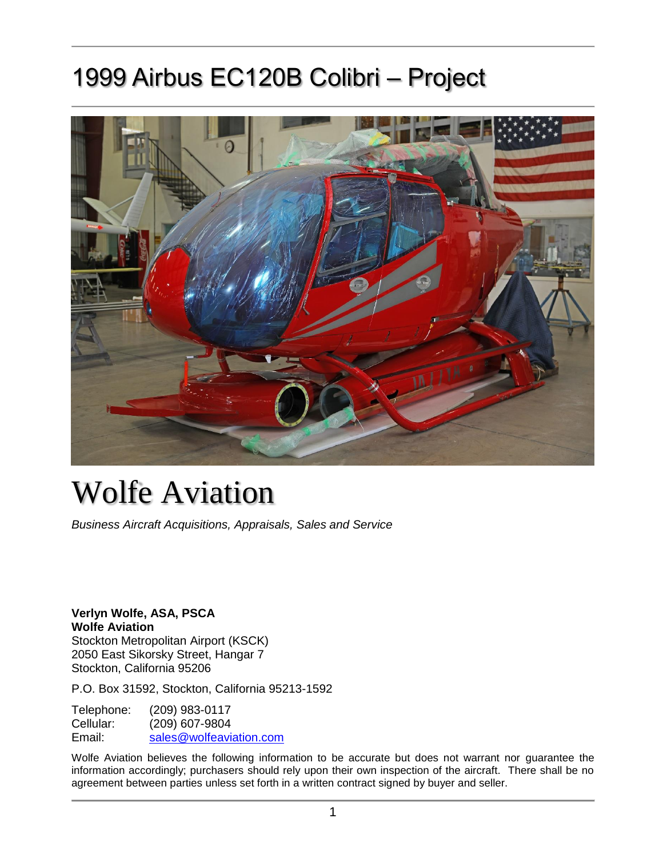# 1999 Airbus EC120B Colibri – Project



# Wolfe Aviation

*Business Aircraft Acquisitions, Appraisals, Sales and Service*

**Verlyn Wolfe, ASA, PSCA Wolfe Aviation** Stockton Metropolitan Airport (KSCK) 2050 East Sikorsky Street, Hangar 7 Stockton, California 95206

P.O. Box 31592, Stockton, California 95213-1592

Telephone: (209) 983-0117 Cellular: (209) 607-9804 Email: [sales@wolfeaviation.com](mailto:sales@wolfeaviation.com?subject=Wolfe%20Aviation%20-%20JA77YA%20-%201999%20Airbus%20EC120B%20Colibri%20sn:%201048)

Wolfe Aviation believes the following information to be accurate but does not warrant nor guarantee the information accordingly; purchasers should rely upon their own inspection of the aircraft. There shall be no agreement between parties unless set forth in a written contract signed by buyer and seller.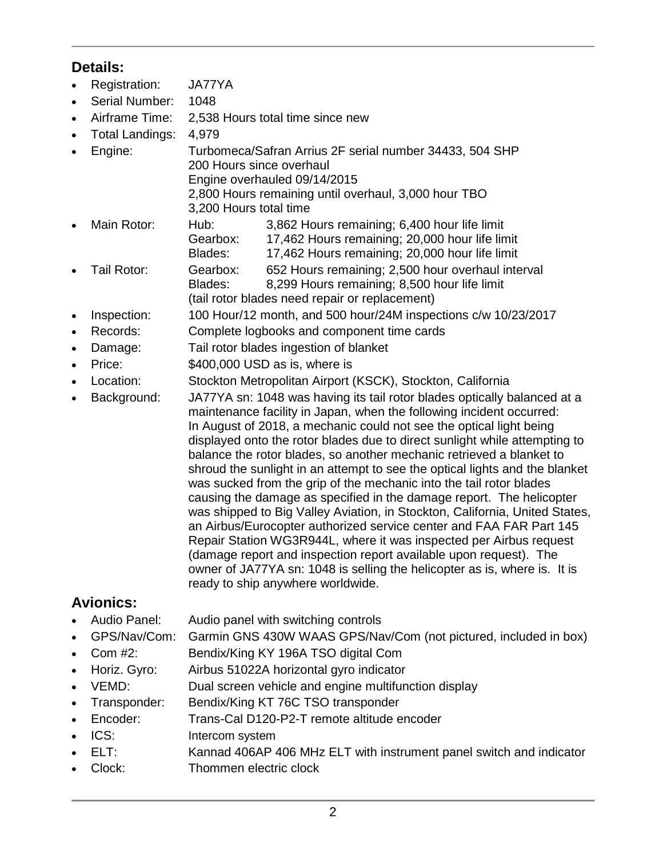## **Details:**

- Registration: JA77YA
- Serial Number: 1048
- Airframe Time: 2,538 Hours total time since new
- Total Landings: 4,979
- Engine: Turbomeca/Safran Arrius 2F serial number 34433, 504 SHP 200 Hours since overhaul Engine overhauled 09/14/2015

2,800 Hours remaining until overhaul, 3,000 hour TBO

- 3,200 Hours total time
- Main Rotor: Hub: 3,862 Hours remaining; 6,400 hour life limit Gearbox: 17,462 Hours remaining; 20,000 hour life limit Blades: 17,462 Hours remaining; 20,000 hour life limit • Tail Rotor: Gearbox: 652 Hours remaining; 2,500 hour overhaul interval
	- Blades: 8,299 Hours remaining; 8,500 hour life limit
- (tail rotor blades need repair or replacement)
- Inspection: 100 Hour/12 month, and 500 hour/24M inspections c/w 10/23/2017
- Records: Complete logbooks and component time cards
- Damage: Tail rotor blades ingestion of blanket
- Price:  $$400,000$  USD as is, where is
- Location: Stockton Metropolitan Airport (KSCK), Stockton, California
- Background: JA77YA sn: 1048 was having its tail rotor blades optically balanced at a
- maintenance facility in Japan, when the following incident occurred: In August of 2018, a mechanic could not see the optical light being displayed onto the rotor blades due to direct sunlight while attempting to balance the rotor blades, so another mechanic retrieved a blanket to shroud the sunlight in an attempt to see the optical lights and the blanket was sucked from the grip of the mechanic into the tail rotor blades causing the damage as specified in the damage report. The helicopter was shipped to Big Valley Aviation, in Stockton, California, United States, an Airbus/Eurocopter authorized service center and FAA FAR Part 145 Repair Station WG3R944L, where it was inspected per Airbus request (damage report and inspection report available upon request). The owner of JA77YA sn: 1048 is selling the helicopter as is, where is. It is ready to ship anywhere worldwide.

## **Avionics:**

- Audio Panel: Audio panel with switching controls
- GPS/Nav/Com: Garmin GNS 430W WAAS GPS/Nav/Com (not pictured, included in box)
- Com #2: Bendix/King KY 196A TSO digital Com
- Horiz. Gyro: Airbus 51022A horizontal gyro indicator
- VEMD: Dual screen vehicle and engine multifunction display
- Transponder: Bendix/King KT 76C TSO transponder
- Encoder: Trans-Cal D120-P2-T remote altitude encoder
- ICS: Intercom system
- ELT: Kannad 406AP 406 MHz ELT with instrument panel switch and indicator
- Clock: Thommen electric clock